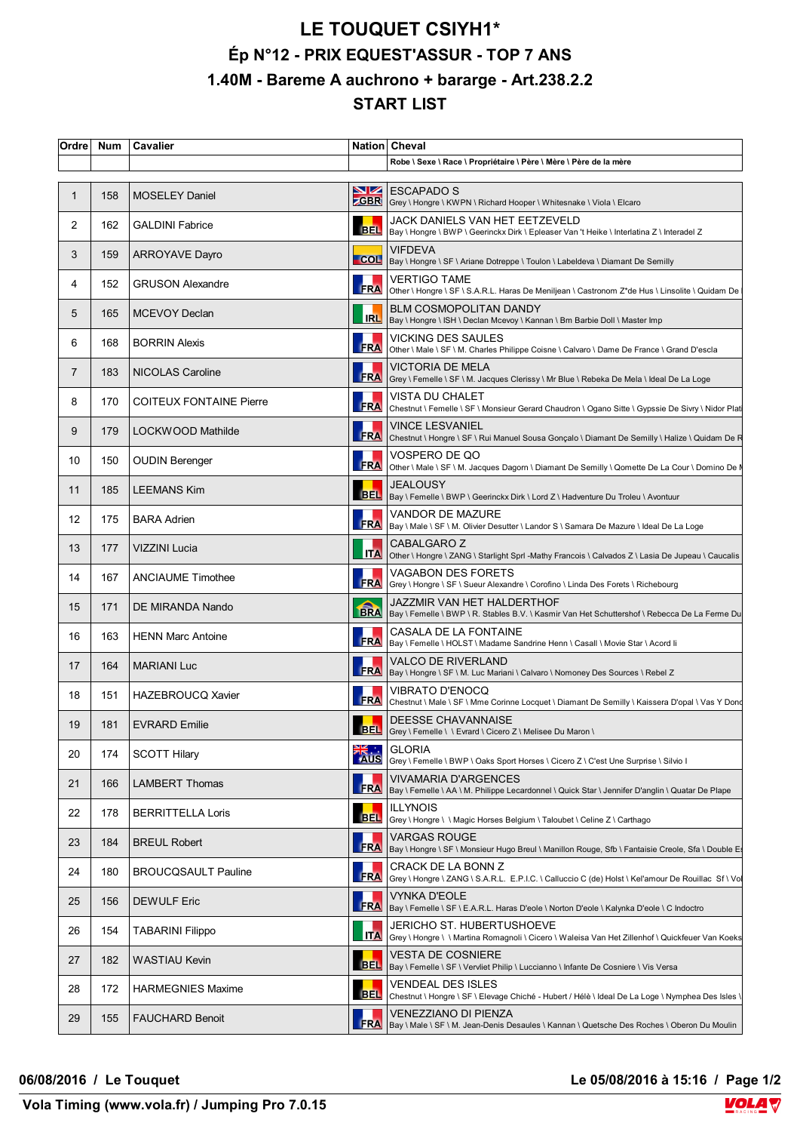## **LE TOUQUET CSIYH1\* Ép N°12 - PRIX EQUEST'ASSUR - TOP 7 ANS 1.40M - Bareme A auchrono + bararge - Art.238.2.2 START LIST**

| Ordre | <b>Num</b> | Cavalier                       |            | Nation Cheval                                                                                                                      |
|-------|------------|--------------------------------|------------|------------------------------------------------------------------------------------------------------------------------------------|
|       |            |                                |            | Robe \ Sexe \ Race \ Propriétaire \ Père \ Mère \ Père de la mère                                                                  |
|       | 158        | <b>MOSELEY Daniel</b>          |            | $\sum$ ESCAPADO S<br><b>CGBR</b> Grey \ Hongre \ KWPN \ Richard Hooper \ Whitesnake \ Viola \ Elcaro                               |
| 2     | 162        | <b>GALDINI Fabrice</b>         |            | JACK DANIELS VAN HET EETZEVELD<br>BEL   Bay \ Hongre \ BWP \ Geerinckx Dirk \ Epleaser Van 't Heike \ Interlatina Z \ Interadel Z  |
| 3     | 159        | <b>ARROYAVE Dayro</b>          |            | <b>VIFDEVA</b><br>COL  Bay \ Hongre \ SF \ Ariane Dotreppe \ Toulon \ Labeldeva \ Diamant De Semilly                               |
| 4     | 152        | <b>GRUSON Alexandre</b>        | <b>FRA</b> | <b>VERTIGO TAME</b><br>Other \ Hongre \ SF \ S.A.R.L. Haras De Meniljean \ Castronom Z*de Hus \ Linsolite \ Quidam De              |
| 5     | 165        | <b>MCEVOY Declan</b>           |            | <b>BLM COSMOPOLITAN DANDY</b><br>IRL   Bay \ Hongre \ ISH \ Declan Mcevoy \ Kannan \ Bm Barbie Doll \ Master Imp                   |
| 6     | 168        | <b>BORRIN Alexis</b>           | <b>FRA</b> | VICKING DES SAULES<br>Other \ Male \ SF \ M. Charles Philippe Coisne \ Calvaro \ Dame De France \ Grand D'escla                    |
| 7     | 183        | NICOLAS Caroline               | <b>FRA</b> | <b>VICTORIA DE MELA</b><br>Grey \ Femelle \ SF \ M. Jacques Clerissy \ Mr Blue \ Rebeka De Mela \ Ideal De La Loge                 |
| 8     | 170        | <b>COITEUX FONTAINE Pierre</b> |            | VISTA DU CHALET<br>FRA Chestnut \ Femelle \ SF \ Monsieur Gerard Chaudron \ Ogano Sitte \ Gypssie De Sivry \ Nidor Plat            |
| 9     | 179        | LOCKWOOD Mathilde              |            | VINCE LESVANIEL<br>FRA Chestnut \ Hongre \ SF \ Rui Manuel Sousa Gonçalo \ Diamant De Semilly \ Halize \ Quidam De R               |
| 10    | 150        | <b>OUDIN Berenger</b>          | <b>FRA</b> | VOSPERO DE QO<br>Other \ Male \ SF \ M. Jacques Dagorn \ Diamant De Semilly \ Qomette De La Cour \ Domino De N                     |
| 11    | 185        | <b>LEEMANS Kim</b>             |            | <b>JEALOUSY</b><br>BEL   Bay \ Femelle \ BWP \ Geerinckx Dirk \ Lord Z \ Hadventure Du Troleu \ Avontuur                           |
| 12    | 175        | <b>BARA Adrien</b>             |            | <b>VANDOR DE MAZURE</b><br>FRA Bay \ Male \ SF \ M. Olivier Desutter \ Landor S \ Samara De Mazure \ Ideal De La Loge              |
| 13    | 177        | VIZZINI Lucia                  | <b>ITA</b> | CABALGARO Z<br>Other \ Hongre \ ZANG \ Starlight SprI -Mathy Francois \ Calvados Z \ Lasia De Jupeau \ Caucalis                    |
| 14    | 167        | <b>ANCIAUME Timothee</b>       | FRA        | <b>VAGABON DES FORETS</b><br>Grey \ Hongre \ SF \ Sueur Alexandre \ Corofino \ Linda Des Forets \ Richebourg                       |
| 15    | 171        | DE MIRANDA Nando               |            | JAZZMIR VAN HET HALDERTHOF<br>BRA Bay \ Femelle \ BWP \ R. Stables B.V. \ Kasmir Van Het Schuttershof \ Rebecca De La Ferme Du BRA |
| 16    | 163        | <b>HENN Marc Antoine</b>       |            | CASALA DE LA FONTAINE<br>FRA   Bay \ Femelle \ HOLST \ Madame Sandrine Henn \ Casall \ Movie Star \ Acord li                       |
| 17    | 164        | <b>MARIANI Luc</b>             |            | <b>VALCO DE RIVERLAND</b><br>FRA  Bay \ Hongre \ SF \ M. Luc Mariani \ Calvaro \ Nomoney Des Sources \ Rebel Z                     |
| 18    | 151        | HAZEBROUCQ Xavier              | <b>FRA</b> | <b>VIBRATO D'ENOCQ</b><br>Chestnut \ Male \ SF \ Mme Corinne Locquet \ Diamant De Semilly \ Kaissera D'opal \ Vas Y Dond           |
| 19    | 181        | <b>EVRARD Emilie</b>           |            | DEESSE CHAVANNAISE<br>BEL Grey \ Femelle \ \ Evrard \ Cicero Z \ Melisee Du Maron \                                                |
| 20    | 174        | <b>SCOTT Hilary</b>            |            | GLORIA<br>Grey \ Femelle \ BWP \ Oaks Sport Horses \ Cicero Z \ C'est Une Surprise \ Silvio I                                      |
| 21    | 166        | LAMBERT Thomas                 | <b>FRA</b> | VIVAMARIA D'ARGENCES<br>Bay \ Femelle \ AA \ M. Philippe Lecardonnel \ Quick Star \ Jennifer D'anglin \ Quatar De Plape            |
| 22    | 178        | <b>BERRITTELLA Loris</b>       |            | <b>ILLYNOIS</b><br>BEL Grey \ Hongre \ \ Magic Horses Belgium \ Taloubet \ Celine Z \ Carthago                                     |
| 23    | 184        | <b>BREUL Robert</b>            | <b>FRA</b> | <b>VARGAS ROUGE</b><br>Bay \ Hongre \ SF \ Monsieur Hugo Breul \ Manillon Rouge, Sfb \ Fantaisie Creole, Sfa \ Double E            |
| 24    | 180        | <b>BROUCQSAULT Pauline</b>     | FRA        | CRACK DE LA BONN Z<br>Grey \ Hongre \ ZANG \ S.A.R.L. E.P.I.C. \ Calluccio C (de) Holst \ Kel'amour De Rouillac Sf \ Vol           |
| 25    | 156        | <b>DEWULF Eric</b>             |            | VYNKA D'EOLE<br>FRA   Bay \ Femelle \ SF \ E.A.R.L. Haras D'eole \ Norton D'eole \ Kalynka D'eole \ C Indoctro                     |
| 26    | 154        | <b>TABARINI Filippo</b>        | <b>ITA</b> | JERICHO ST. HUBERTUSHOEVE<br>Grey \ Hongre \ \ Martina Romagnoli \ Cicero \ Waleisa Van Het Zillenhof \ Quickfeuer Van Koeks       |
| 27    | 182        | WASTIAU Kevin                  |            | <b>VESTA DE COSNIERE</b><br>BEL   Bay \ Femelle \ SF \ Vervliet Philip \ Luccianno \ Infante De Cosniere \ Vis Versa               |
| 28    | 172        | <b>HARMEGNIES Maxime</b>       | <b>BEL</b> | VENDEAL DES ISLES<br>Chestnut \ Hongre \ SF \ Elevage Chiché - Hubert / Hélè \ Ideal De La Loge \ Nymphea Des Isles \              |
| 29    | 155        | <b>FAUCHARD Benoit</b>         | <b>FRA</b> | VENEZZIANO DI PIENZA<br>Bay \ Male \ SF \ M. Jean-Denis Desaules \ Kannan \ Quetsche Des Roches \ Oberon Du Moulin                 |

**06/08/2016 / Le Touquet Le 05/08/2016 à 15:16 / Page 1/2**